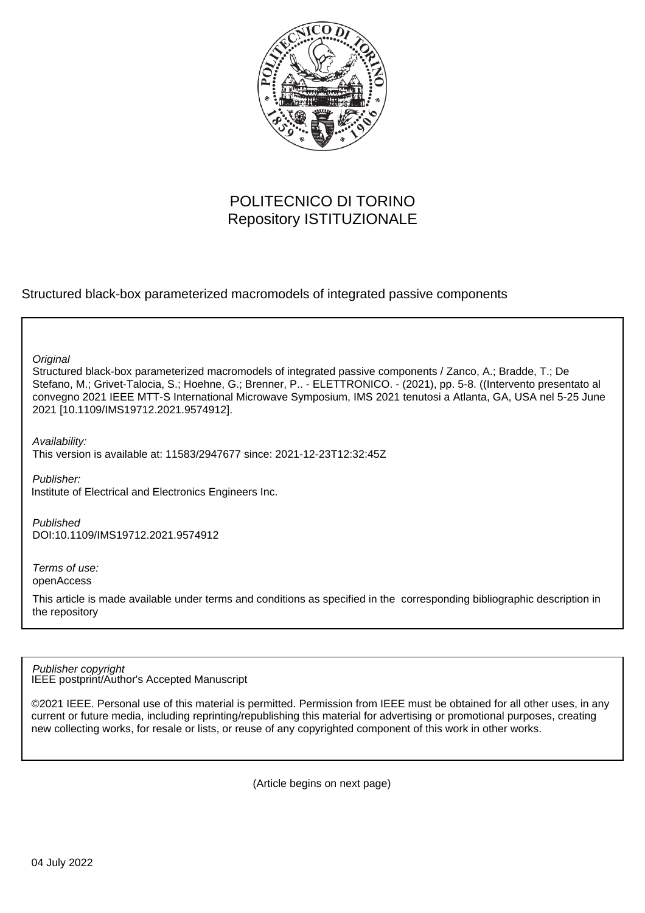

## POLITECNICO DI TORINO Repository ISTITUZIONALE

Structured black-box parameterized macromodels of integrated passive components

**Original** 

Structured black-box parameterized macromodels of integrated passive components / Zanco, A.; Bradde, T.; De Stefano, M.; Grivet-Talocia, S.; Hoehne, G.; Brenner, P.. - ELETTRONICO. - (2021), pp. 5-8. ((Intervento presentato al convegno 2021 IEEE MTT-S International Microwave Symposium, IMS 2021 tenutosi a Atlanta, GA, USA nel 5-25 June 2021 [10.1109/IMS19712.2021.9574912].

Availability: This version is available at: 11583/2947677 since: 2021-12-23T12:32:45Z

Publisher: Institute of Electrical and Electronics Engineers Inc.

Published DOI:10.1109/IMS19712.2021.9574912

Terms of use: openAccess

This article is made available under terms and conditions as specified in the corresponding bibliographic description in the repository

IEEE postprint/Author's Accepted Manuscript Publisher copyright

©2021 IEEE. Personal use of this material is permitted. Permission from IEEE must be obtained for all other uses, in any current or future media, including reprinting/republishing this material for advertising or promotional purposes, creating new collecting works, for resale or lists, or reuse of any copyrighted component of this work in other works.

(Article begins on next page)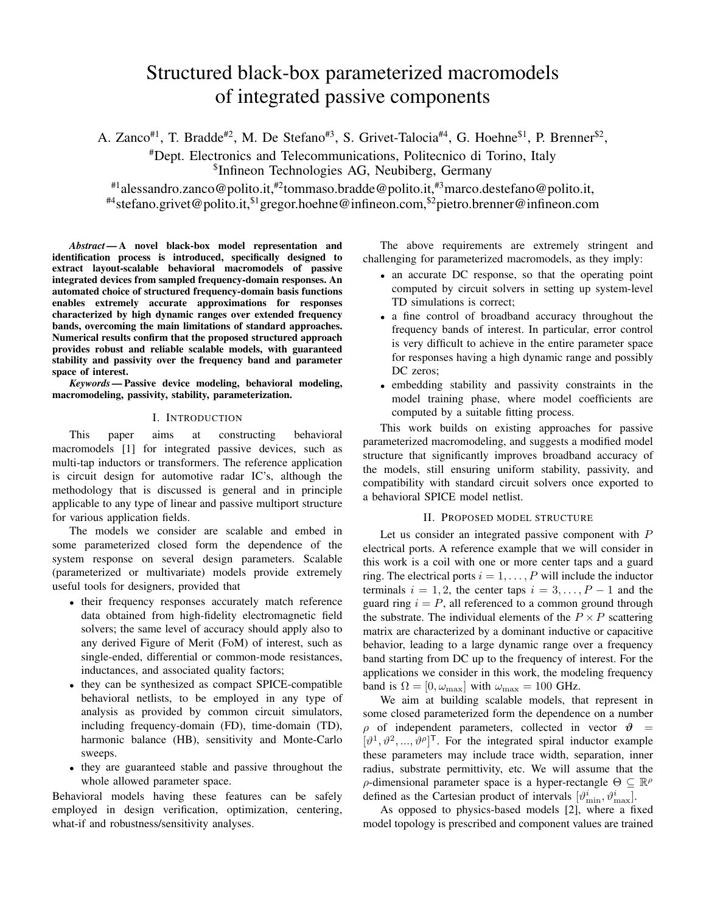# Structured black-box parameterized macromodels of integrated passive components

A. Zanco<sup>#1</sup>, T. Bradde<sup>#2</sup>, M. De Stefano<sup>#3</sup>, S. Grivet-Talocia<sup>#4</sup>, G. Hoehne<sup>\$1</sup>, P. Brenner<sup>\$2</sup>,

#Dept. Electronics and Telecommunications, Politecnico di Torino, Italy \$ Infineon Technologies AG, Neubiberg, Germany

#1alessandro.zanco@polito.it,#2tommaso.bradde@polito.it,#3marco.destefano@polito.it, #4stefano.grivet@polito.it,\$1gregor.hoehne@infineon.com,\$2pietro.brenner@infineon.com

*Abstract —*A novel black-box model representation and identification process is introduced, specifically designed to extract layout-scalable behavioral macromodels of passive integrated devices from sampled frequency-domain responses. An automated choice of structured frequency-domain basis functions enables extremely accurate approximations for responses characterized by high dynamic ranges over extended frequency bands, overcoming the main limitations of standard approaches. Numerical results confirm that the proposed structured approach provides robust and reliable scalable models, with guaranteed stability and passivity over the frequency band and parameter space of interest.

*Keywords —*Passive device modeling, behavioral modeling, macromodeling, passivity, stability, parameterization.

### I. INTRODUCTION

This paper aims at constructing behavioral macromodels [1] for integrated passive devices, such as multi-tap inductors or transformers. The reference application is circuit design for automotive radar IC's, although the methodology that is discussed is general and in principle applicable to any type of linear and passive multiport structure for various application fields.

The models we consider are scalable and embed in some parameterized closed form the dependence of the system response on several design parameters. Scalable (parameterized or multivariate) models provide extremely useful tools for designers, provided that

- their frequency responses accurately match reference data obtained from high-fidelity electromagnetic field solvers; the same level of accuracy should apply also to any derived Figure of Merit (FoM) of interest, such as single-ended, differential or common-mode resistances, inductances, and associated quality factors;
- they can be synthesized as compact SPICE-compatible behavioral netlists, to be employed in any type of analysis as provided by common circuit simulators, including frequency-domain (FD), time-domain (TD), harmonic balance (HB), sensitivity and Monte-Carlo sweeps.
- they are guaranteed stable and passive throughout the whole allowed parameter space.

Behavioral models having these features can be safely employed in design verification, optimization, centering, what-if and robustness/sensitivity analyses.

The above requirements are extremely stringent and challenging for parameterized macromodels, as they imply:

- an accurate DC response, so that the operating point computed by circuit solvers in setting up system-level TD simulations is correct;
- a fine control of broadband accuracy throughout the frequency bands of interest. In particular, error control is very difficult to achieve in the entire parameter space for responses having a high dynamic range and possibly DC zeros;
- embedding stability and passivity constraints in the model training phase, where model coefficients are computed by a suitable fitting process.

This work builds on existing approaches for passive parameterized macromodeling, and suggests a modified model structure that significantly improves broadband accuracy of the models, still ensuring uniform stability, passivity, and compatibility with standard circuit solvers once exported to a behavioral SPICE model netlist.

## II. PROPOSED MODEL STRUCTURE

Let us consider an integrated passive component with P electrical ports. A reference example that we will consider in this work is a coil with one or more center taps and a guard ring. The electrical ports  $i = 1, \ldots, P$  will include the inductor terminals  $i = 1, 2$ , the center taps  $i = 3, \ldots, P - 1$  and the guard ring  $i = P$ , all referenced to a common ground through the substrate. The individual elements of the  $P \times P$  scattering matrix are characterized by a dominant inductive or capacitive behavior, leading to a large dynamic range over a frequency band starting from DC up to the frequency of interest. For the applications we consider in this work, the modeling frequency band is  $\Omega = [0, \omega_{\text{max}}]$  with  $\omega_{\text{max}} = 100$  GHz.

We aim at building scalable models, that represent in some closed parameterized form the dependence on a number  $\rho$  of independent parameters, collected in vector  $\theta =$  $[\vartheta^1, \vartheta^2, ..., \vartheta^{\rho}]^{\mathsf{T}}$ . For the integrated spiral inductor example these parameters may include trace width, separation, inner radius, substrate permittivity, etc. We will assume that the  $\rho$ -dimensional parameter space is a hyper-rectangle  $\Theta \subseteq \mathbb{R}^{\rho}$ defined as the Cartesian product of intervals  $[\vartheta_{\min}^i, \vartheta_{\max}^i]$ .

As opposed to physics-based models [2], where a fixed model topology is prescribed and component values are trained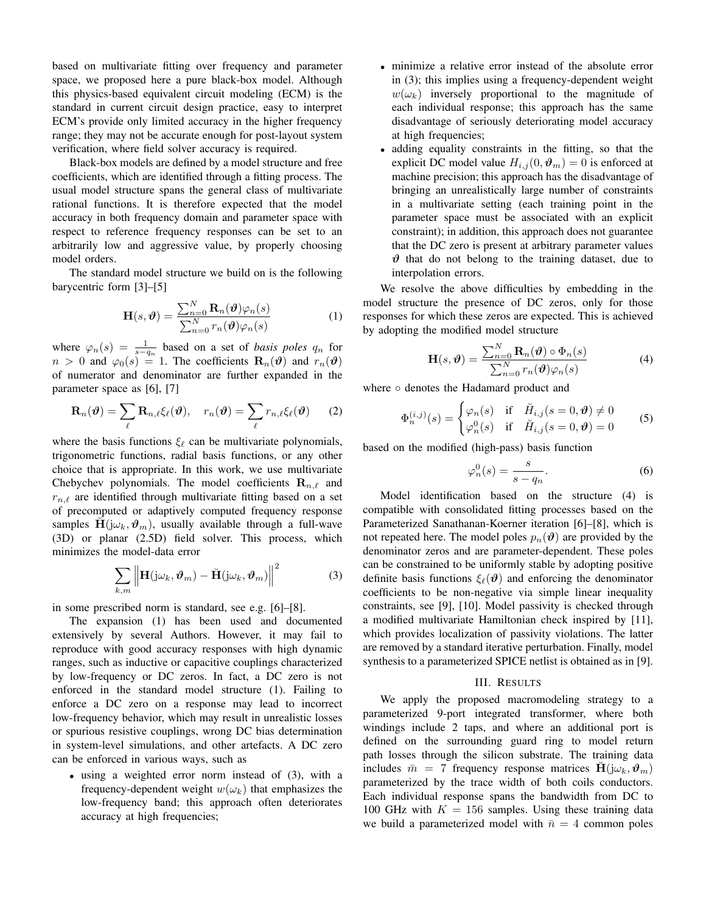based on multivariate fitting over frequency and parameter space, we proposed here a pure black-box model. Although this physics-based equivalent circuit modeling (ECM) is the standard in current circuit design practice, easy to interpret ECM's provide only limited accuracy in the higher frequency range; they may not be accurate enough for post-layout system verification, where field solver accuracy is required.

Black-box models are defined by a model structure and free coefficients, which are identified through a fitting process. The usual model structure spans the general class of multivariate rational functions. It is therefore expected that the model accuracy in both frequency domain and parameter space with respect to reference frequency responses can be set to an arbitrarily low and aggressive value, by properly choosing model orders.

The standard model structure we build on is the following barycentric form [3]–[5]

$$
\mathbf{H}(s,\boldsymbol{\vartheta}) = \frac{\sum_{n=0}^{N} \mathbf{R}_n(\boldsymbol{\vartheta}) \varphi_n(s)}{\sum_{n=0}^{N} r_n(\boldsymbol{\vartheta}) \varphi_n(s)}
$$
(1)

where  $\varphi_n(s) = \frac{1}{s-q_n}$  based on a set of *basis poles*  $q_n$  for  $n > 0$  and  $\varphi_0(s) = 1$ . The coefficients  $\mathbf{R}_n(\theta)$  and  $r_n(\theta)$ of numerator and denominator are further expanded in the parameter space as [6], [7]

$$
\mathbf{R}_n(\boldsymbol{\vartheta}) = \sum_{\ell} \mathbf{R}_{n,\ell} \xi_{\ell}(\boldsymbol{\vartheta}), \quad r_n(\boldsymbol{\vartheta}) = \sum_{\ell} r_{n,\ell} \xi_{\ell}(\boldsymbol{\vartheta}) \qquad (2)
$$

where the basis functions  $\xi_{\ell}$  can be multivariate polynomials, trigonometric functions, radial basis functions, or any other choice that is appropriate. In this work, we use multivariate Chebychev polynomials. The model coefficients  $\mathbf{R}_{n,\ell}$  and  $r_{n,\ell}$  are identified through multivariate fitting based on a set of precomputed or adaptively computed frequency response samples  $\mathbf{H}(\mathbf{j}\omega_k, \boldsymbol{\vartheta}_m)$ , usually available through a full-wave (3D) or planar (2.5D) field solver. This process, which minimizes the model-data error

$$
\sum_{k,m} \left\| \mathbf{H}(\mathrm{j}\omega_k, \boldsymbol{\vartheta}_m) - \check{\mathbf{H}}(\mathrm{j}\omega_k, \boldsymbol{\vartheta}_m) \right\|^2 \tag{3}
$$

in some prescribed norm is standard, see e.g. [6]–[8].

The expansion (1) has been used and documented extensively by several Authors. However, it may fail to reproduce with good accuracy responses with high dynamic ranges, such as inductive or capacitive couplings characterized by low-frequency or DC zeros. In fact, a DC zero is not enforced in the standard model structure (1). Failing to enforce a DC zero on a response may lead to incorrect low-frequency behavior, which may result in unrealistic losses or spurious resistive couplings, wrong DC bias determination in system-level simulations, and other artefacts. A DC zero can be enforced in various ways, such as

• using a weighted error norm instead of (3), with a frequency-dependent weight  $w(\omega_k)$  that emphasizes the low-frequency band; this approach often deteriorates accuracy at high frequencies;

- minimize a relative error instead of the absolute error in (3); this implies using a frequency-dependent weight  $w(\omega_k)$  inversely proportional to the magnitude of each individual response; this approach has the same disadvantage of seriously deteriorating model accuracy at high frequencies;
- adding equality constraints in the fitting, so that the explicit DC model value  $H_{i,j}(0, \vartheta_m) = 0$  is enforced at machine precision; this approach has the disadvantage of bringing an unrealistically large number of constraints in a multivariate setting (each training point in the parameter space must be associated with an explicit constraint); in addition, this approach does not guarantee that the DC zero is present at arbitrary parameter values  $\vartheta$  that do not belong to the training dataset, due to interpolation errors.

We resolve the above difficulties by embedding in the model structure the presence of DC zeros, only for those responses for which these zeros are expected. This is achieved by adopting the modified model structure

$$
\mathbf{H}(s,\boldsymbol{\vartheta}) = \frac{\sum_{n=0}^{N} \mathbf{R}_n(\boldsymbol{\vartheta}) \circ \Phi_n(s)}{\sum_{n=0}^{N} r_n(\boldsymbol{\vartheta}) \varphi_n(s)}
$$
(4)

where ∘ denotes the Hadamard product and

$$
\Phi_n^{(i,j)}(s) = \begin{cases} \varphi_n(s) & \text{if } \tilde{H}_{i,j}(s=0,\boldsymbol{\vartheta}) \neq 0\\ \varphi_n^0(s) & \text{if } \tilde{H}_{i,j}(s=0,\boldsymbol{\vartheta}) = 0 \end{cases}
$$
 (5)

based on the modified (high-pass) basis function

$$
\varphi_n^0(s) = \frac{s}{s - q_n}.\tag{6}
$$

Model identification based on the structure (4) is compatible with consolidated fitting processes based on the Parameterized Sanathanan-Koerner iteration [6]–[8], which is not repeated here. The model poles  $p_n(\theta)$  are provided by the denominator zeros and are parameter-dependent. These poles can be constrained to be uniformly stable by adopting positive definite basis functions  $\xi_{\ell}(\boldsymbol{\vartheta})$  and enforcing the denominator coefficients to be non-negative via simple linear inequality constraints, see [9], [10]. Model passivity is checked through a modified multivariate Hamiltonian check inspired by [11], which provides localization of passivity violations. The latter are removed by a standard iterative perturbation. Finally, model synthesis to a parameterized SPICE netlist is obtained as in [9].

#### III. RESULTS

We apply the proposed macromodeling strategy to a parameterized 9-port integrated transformer, where both windings include 2 taps, and where an additional port is defined on the surrounding guard ring to model return path losses through the silicon substrate. The training data includes  $\bar{m} = 7$  frequency response matrices  $H(j\omega_k, \vartheta_m)$ parameterized by the trace width of both coils conductors. Each individual response spans the bandwidth from DC to 100 GHz with  $K = 156$  samples. Using these training data we build a parameterized model with  $\bar{n} = 4$  common poles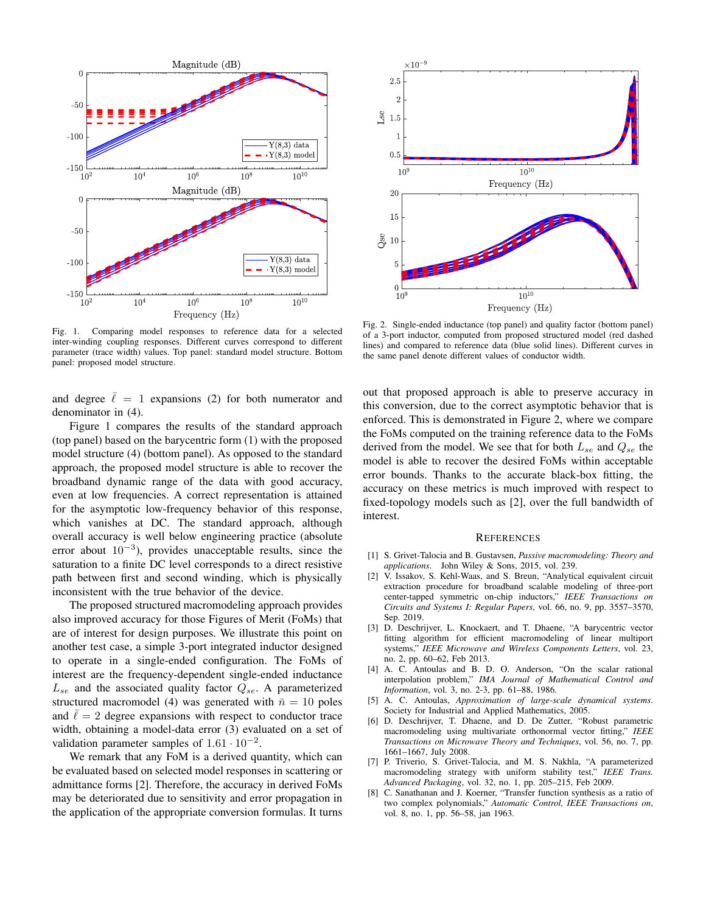

Fig. 1. Comparing model responses to reference data for a selected inter-winding coupling responses. Different curves correspond to different parameter (trace width) values. Top panel: standard model structure. Bottom panel: proposed model structure.

and degree  $\overline{\ell} = 1$  expansions (2) for both numerator and denominator in (4).

Figure 1 compares the results of the standard approach (top panel) based on the barycentric form (1) with the proposed model structure (4) (bottom panel). As opposed to the standard approach, the proposed model structure is able to recover the broadband dynamic range of the data with good accuracy, even at low frequencies. A correct representation is attained for the asymptotic low-frequency behavior of this response, which vanishes at DC. The standard approach, although overall accuracy is well below engineering practice (absolute error about  $10^{-3}$ ), provides unacceptable results, since the saturation to a finite DC level corresponds to a direct resistive path between first and second winding, which is physically inconsistent with the true behavior of the device.

The proposed structured macromodeling approach provides also improved accuracy for those Figures of Merit (FoMs) that are of interest for design purposes. We illustrate this point on another test case, a simple 3-port integrated inductor designed to operate in a single-ended configuration. The FoMs of interest are the frequency-dependent single-ended inductance  $L_{se}$  and the associated quality factor  $Q_{se}$ . A parameterized structured macromodel (4) was generated with  $\bar{n} = 10$  poles and  $\ell = 2$  degree expansions with respect to conductor trace width, obtaining a model-data error (3) evaluated on a set of validation parameter samples of  $1.61 \cdot 10^{-2}$ .

We remark that any FoM is a derived quantity, which can be evaluated based on selected model responses in scattering or admittance forms [2]. Therefore, the accuracy in derived FoMs may be deteriorated due to sensitivity and error propagation in the application of the appropriate conversion formulas. It turns



Fig. 2. Single-ended inductance (top panel) and quality factor (bottom panel) of a 3-port inductor, computed from proposed structured model (red dashed lines) and compared to reference data (blue solid lines). Different curves in the same panel denote different values of conductor width.

out that proposed approach is able to preserve accuracy in this conversion, due to the correct asymptotic behavior that is enforced. This is demonstrated in Figure 2, where we compare the FoMs computed on the training reference data to the FoMs derived from the model. We see that for both  $L_{se}$  and  $Q_{se}$  the model is able to recover the desired FoMs within acceptable error bounds. Thanks to the accurate black-box fitting, the accuracy on these metrics is much improved with respect to fixed-topology models such as [2], over the full bandwidth of interest.

#### **REFERENCES**

- [1] S. Grivet-Talocia and B. Gustavsen, *Passive macromodeling: Theory and applications*. John Wiley & Sons, 2015, vol. 239.
- [2] V. Issakov, S. Kehl-Waas, and S. Breun, "Analytical equivalent circuit extraction procedure for broadband scalable modeling of three-port center-tapped symmetric on-chip inductors," *IEEE Transactions on Circuits and Systems I: Regular Papers*, vol. 66, no. 9, pp. 3557–3570, Sep. 2019.
- [3] D. Deschrijver, L. Knockaert, and T. Dhaene, "A barycentric vector fitting algorithm for efficient macromodeling of linear multiport systems," *IEEE Microwave and Wireless Components Letters*, vol. 23, no. 2, pp. 60–62, Feb 2013.
- [4] A. C. Antoulas and B. D. O. Anderson, "On the scalar rational interpolation problem," *IMA Journal of Mathematical Control and Information*, vol. 3, no. 2-3, pp. 61–88, 1986.
- [5] A. C. Antoulas, *Approximation of large-scale dynamical systems*. Society for Industrial and Applied Mathematics, 2005.
- [6] D. Deschrijver, T. Dhaene, and D. De Zutter, "Robust parametric macromodeling using multivariate orthonormal vector fitting," *IEEE Transactions on Microwave Theory and Techniques*, vol. 56, no. 7, pp. 1661–1667, July 2008.
- [7] P. Triverio, S. Grivet-Talocia, and M. S. Nakhla, "A parameterized macromodeling strategy with uniform stability test," *IEEE Trans. Advanced Packaging*, vol. 32, no. 1, pp. 205–215, Feb 2009.
- [8] C. Sanathanan and J. Koerner, "Transfer function synthesis as a ratio of two complex polynomials," *Automatic Control, IEEE Transactions on*, vol. 8, no. 1, pp. 56–58, jan 1963.